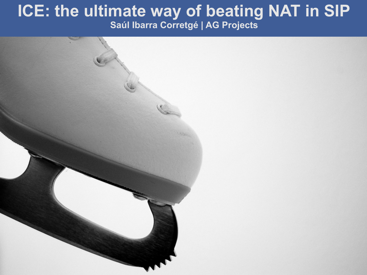#### AG Projects ICE: the ultimate way of beating NAT in SIP **ICE: the ultimate way of beating NAT in SIP Saúl Ibarra Corretgé | AG Projects**

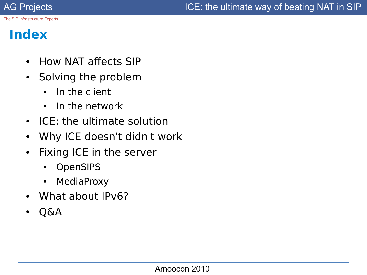#### **Index**

- How NAT affects SIP
- Solving the problem
	- In the client
	- $\cdot$  In the network
- ICE: the ultimate solution
- Why ICE <del>doesn't</del> didn't work
- Fixing ICE in the server
	- **OpenSIPS**
	- MediaProxy
- What about IPv6?
- Q&A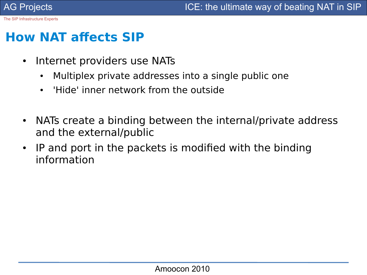#### **How NAT afects SIP**

- Internet providers use NATs
	- Multiplex private addresses into a single public one
	- 'Hide' inner network from the outside
- NATs create a binding between the internal/private address and the external/public
- IP and port in the packets is modified with the binding information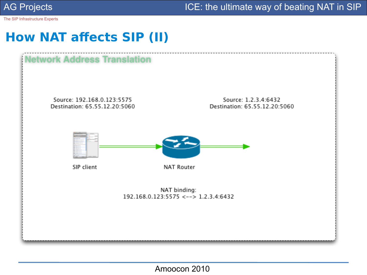

AG Projects **ICE:** the ultimate way of beating NAT in SIP

The SIP Infrastructure Experts

#### **How NAT afects SIP (II)**

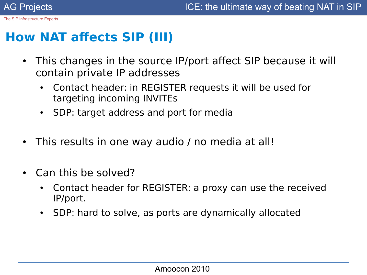#### **How NAT afects SIP (III)**

- This changes in the source IP/port affect SIP because it will contain private IP addresses
	- Contact header: in REGISTER requests it will be used for targeting incoming INVITEs
	- SDP: target address and port for media
- This results in one way audio / no media at all!
- Can this be solved?
	- Contact header for REGISTER: a proxy can use the received IP/port.
	- SDP: hard to solve, as ports are dynamically allocated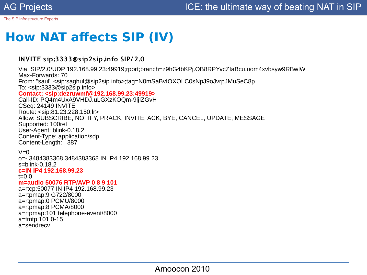#### **How NAT afects SIP (IV)**

#### **INVITE sip:3333@sip2sip.info SIP/ 2.0**

Via: SIP/2.0/UDP 192.168.99.23:49919;rport;branch=z9hG4bKPj.OB8RPYvcZIaBcu.uom4xvbsyw9RBwlW Max-Forwards: 70 From: "saul" <sip[:saghul@sip2sip.info>](mailto:saghul@sip2sip.info);tag=N0mSaBvIOXOLC0sNpJ9oJvrpJMuSeC8p To: <sip:[3333@sip2sip.info>](mailto:3333@sip2sip.info) **Contact: <sip[:dezruwmf@192.168.99.23:](mailto:dezruwmf@192.168.99.23)49919>** Call-ID: PQ4m4UxA9VHDJ.uLGXzKOQm-9ljIZGvH CSeq: 24149 INVITE Route: <sip:81.23.228.150;lr> Allow: SUBSCRIBE, NOTIFY, PRACK, INVITE, ACK, BYE, CANCEL, UPDATE, MESSAGE Supported: 100rel User-Agent: blink-0.18.2 Content-Type: application/sdp Content-Length: 387

#### $V=0$

o=- 3484383368 3484383368 IN IP4 192.168.99.23 s=blink-0.18.2 **c=IN IP4 192.168.99.23**

#### t=0 0

#### **m=audio 50076 RTP/AVP 0 8 9 101**

a=rtcp:50077 IN IP4 192.168.99.23 a=rtpmap:9 G722/8000 a=rtpmap:0 PCMU/8000 a=rtpmap:8 PCMA/8000 a=rtpmap:101 telephone-event/8000 a=fmtp:101 0-15 a=sendrecv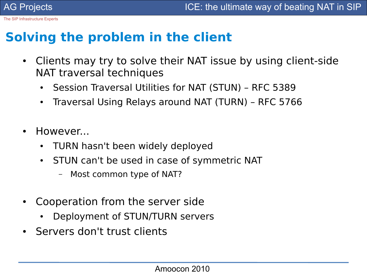#### **Solving the problem in the client**

- Clients may try to solve their NAT issue by using client-side NAT traversal techniques
	- Session Traversal Utilities for NAT (STUN) RFC 5389
	- Traversal Using Relays around NAT (TURN) RFC 5766
- However...
	- TURN hasn't been widely deployed
	- STUN can't be used in case of symmetric NAT
		- Most common type of NAT?
- Cooperation from the server side
	- Deployment of STUN/TURN servers
- Servers don't trust clients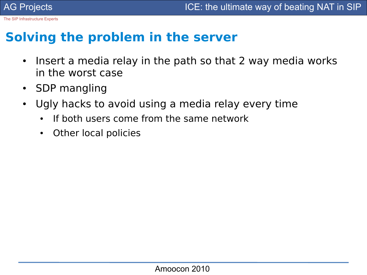#### **Solving the problem in the server**

- Insert a media relay in the path so that 2 way media works in the worst case
- SDP mangling
- Ugly hacks to avoid using a media relay every time
	- If both users come from the same network
	- Other local policies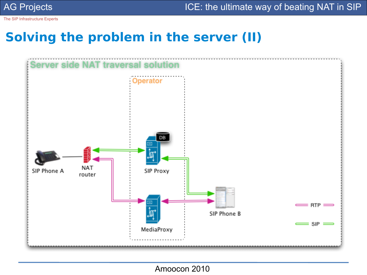AG Projects **ICE:** the ultimate way of beating NAT in SIP

The SIP Infrastructure Experts

#### **Solving the problem in the server (II)**



Amoocon 2010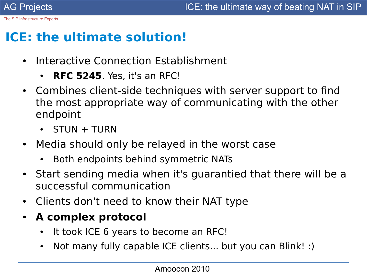# **ICE: the ultimate solution!**

- Interactive Connection Establishment
	- **RFC 5245**. Yes, it's an RFC!
- Combines client-side techniques with server support to find the most appropriate way of communicating with the other endpoint
	- $STUN + TURN$
- Media should only be relayed in the worst case
	- Both endpoints behind symmetric NATs
- Start sending media when it's guarantied that there will be a successful communication
- Clients don't need to know their NAT type
- **A complex protocol**
	- It took ICE 6 years to become an RFC!
	- Not many fully capable ICE clients... but you can Blink! :)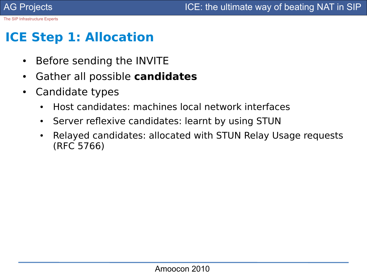## **ICE Step 1: Allocation**

- Before sending the INVITE
- Gather all possible **candidates**
- Candidate types
	- Host candidates: machines local network interfaces
	- Server reflexive candidates: learnt by using STUN
	- Relayed candidates: allocated with STUN Relay Usage requests (RFC 5766)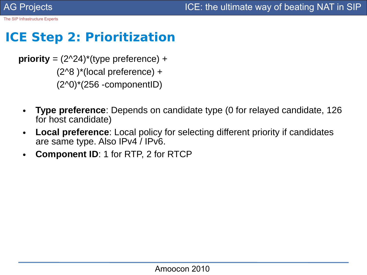## **ICE Step 2: Prioritization**

**priority** = (2^24)\*(type preference) +  $(2^8 \times 8^*)$ \*(local preference) + (2^0)\*(256 -componentID)

- **Type preference**: Depends on candidate type (0 for relayed candidate, 126 for host candidate)
- **Local preference**: Local policy for selecting different priority if candidates are same type. Also IPv4 / IPv6.
- **Component ID: 1 for RTP, 2 for RTCP**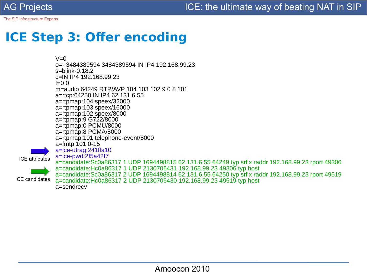# **ICE Step 3: Ofer encoding**

 $V=0$ o=- 3484389594 3484389594 IN IP4 192.168.99.23 s=blink-0.18.2 c=IN IP4 192.168.99.23  $t=0.0$ m=audio 64249 RTP/AVP 104 103 102 9 0 8 101 a=rtcp:64250 IN IP4 62.131.6.55 a=rtpmap:104 speex/32000 a=rtpmap:103 speex/16000 a=rtpmap:102 speex/8000 a=rtpmap:9 G722/8000 a=rtpmap:0 PCMU/8000 a=rtpmap:8 PCMA/8000 a=rtpmap:101 telephone-event/8000 a=fmtp:101 0-15 a=ice-ufrag:241ffa10 a=ice-pwd:2f5a42f7 a=candidate:Sc0a86317 1 UDP 1694498815 62.131.6.55 64249 typ srf x raddr 192.168.99.23 rport 49306 a=candidate:Hc0a86317 1 UDP 2130706431 192.168.99.23 49306 typ host a=candidate:Sc0a86317 2 UDP 1694498814 62.131.6.55 64250 typ srfl x raddr 192.168.99.23 rport 49519 a=candidate:Hc0a86317 2 UDP 2130706430 192.168.99.23 49519 typ host a=sendrecv ICE attributes ICE candidates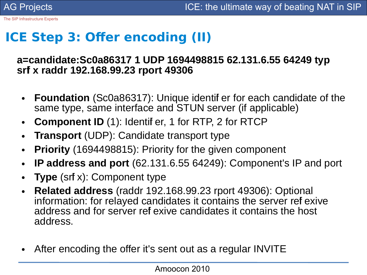# **ICE Step 3: Offer encoding (II)**

#### **a=candidate:Sc0a86317 1 UDP 1694498815 62.131.6.55 64249 typ srfl x raddr 192.168.99.23 rport 49306**

- **Foundation** (Sc0a86317): Unique identif er for each candidate of the same type, same interface and STUN server (if applicable)
- **Component ID** (1): Identifi er, 1 for RTP, 2 for RTCP
- **Transport** (UDP): Candidate transport type
- **Priority** (1694498815): Priority for the given component
- **IP address and port** (62.131.6.55 64249): Component's IP and port
- **Type** (srf x): Component type
- **Related address** (raddr 192.168.99.23 rport 49306): Optional information: for relayed candidates it contains the server ref exive address and for server refl exive candidates it contains the host address.
- After encoding the offer it's sent out as a regular INVITE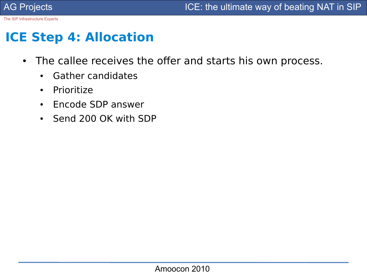#### **ICE Step 4: Allocation**

- The callee receives the offer and starts his own process.
	- Gather candidates
	- Prioritize
	- Encode SDP answer
	- Send 200 OK with SDP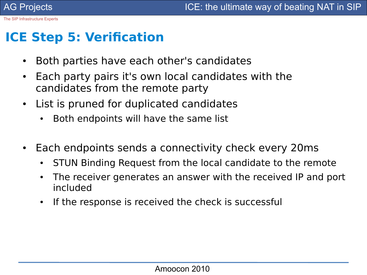## **ICE Step 5: Verifcation**

- Both parties have each other's candidates
- Each party pairs it's own local candidates with the candidates from the remote party
- List is pruned for duplicated candidates
	- Both endpoints will have the same list
- Each endpoints sends a connectivity check every 20ms
	- STUN Binding Request from the local candidate to the remote
	- The receiver generates an answer with the received IP and port included
	- If the response is received the check is successful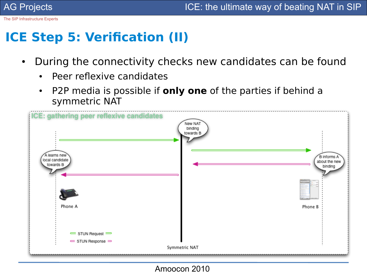### **ICE Step 5: Verifcation (II)**

- During the connectivity checks new candidates can be found
	- Peer reflexive candidates
	- P2P media is possible if **only one** of the parties if behind a symmetric NAT



Amoocon 2010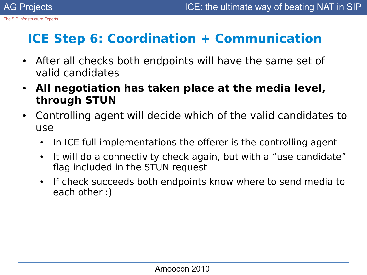# **ICE Step 6: Coordination + Communication**

- After all checks both endpoints will have the same set of valid candidates
- **All negotiation has taken place at the media level, through STUN**
- Controlling agent will decide which of the valid candidates to use
	- In ICE full implementations the offerer is the controlling agent
	- It will do a connectivity check again, but with a "use candidate" fag included in the STUN request
	- If check succeeds both endpoints know where to send media to each other :)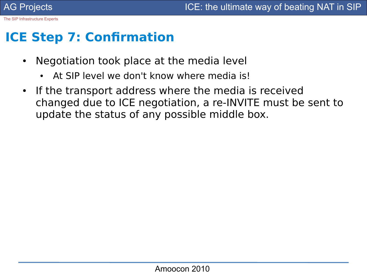#### **ICE Step 7: Confrmation**

- Negotiation took place at the media level
	- At SIP level we don't know where media is!
- If the transport address where the media is received changed due to ICE negotiation, a re-INVITE must be sent to update the status of any possible middle box.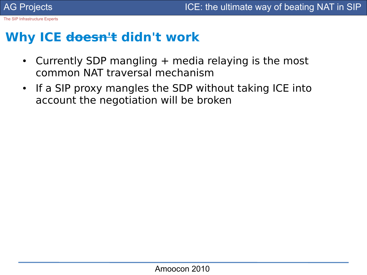#### **Why ICE doesn't didn't work**

- Currently SDP mangling  $+$  media relaying is the most common NAT traversal mechanism
- If a SIP proxy mangles the SDP without taking ICE into account the negotiation will be broken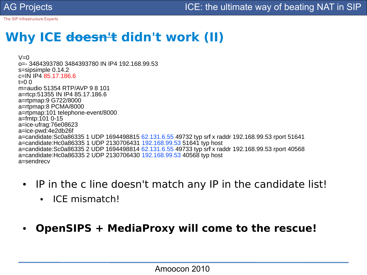### **Why ICE doesn't didn't work (II)**

 $V=0$ o=- 3484393780 3484393780 IN IP4 192.168.99.53 s=sipsimple 0.14.2 c=IN IP4 85.17.186.6  $t=0$   $\Omega$ m=audio 51354 RTP/AVP 9 8 101 a=rtcp:51355 IN IP4 85.17.186.6 a=rtpmap:9 G722/8000 a=rtpmap:8 PCMA/8000 a=rtpmap:101 telephone-event/8000 a=fmtp:101 0-15 a=ice-ufrag:76e08623 a=ice-pwd:4e2db26f a=candidate:Sc0a86335 1 UDP 1694498815 62.131.6.55 49732 typ srf x raddr 192.168.99.53 rport 51641 a=candidate:Hc0a86335 1 UDP 2130706431 192.168.99.53 51641 typ host a=candidate:Sc0a86335 2 UDP 1694498814 62.131.6.55 49733 typ srf x raddr 192.168.99.53 rport 40568 a=candidate:Hc0a86335 2 UDP 2130706430 192.168.99.53 40568 typ host a=sendrecv

- IP in the c line doesn't match any IP in the candidate list!
	- ICF mismatch!
- **OpenSIPS + MediaProxy will come to the rescue!**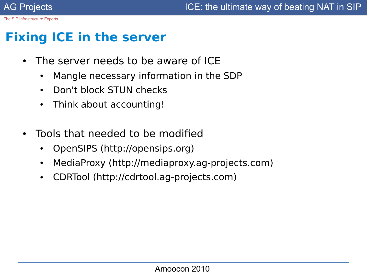# **Fixing ICE in the server**

- The server needs to be aware of ICE
	- Mangle necessary information in the SDP
	- Don't block STUN checks
	- Think about accounting!
- Tools that needed to be modified
	- OpenSIPS (http://opensips.org)
	- MediaProxy (http://mediaproxy.ag-projects.com)
	- CDRTool (http://cdrtool.ag-projects.com)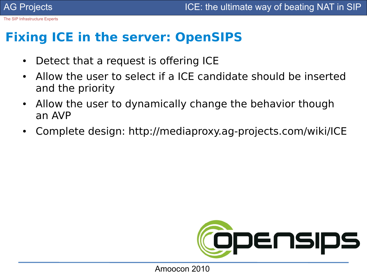#### **Fixing ICE in the server: OpenSIPS**

- Detect that a request is offering ICE
- Allow the user to select if a ICE candidate should be inserted and the priority
- Allow the user to dynamically change the behavior though an AVP
- Complete design: http://mediaproxy.ag-projects.com/wiki/ICE

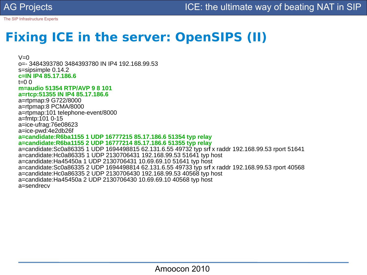## **Fixing ICE in the server: OpenSIPS (II)**

 $V=0$ o=- 3484393780 3484393780 IN IP4 192.168.99.53 s=sipsimple 0.14.2 **c=IN IP4 85.17.186.6**  $t=0$   $\Omega$ **m=audio 51354 RTP/AVP 9 8 101 a=rtcp:51355 IN IP4 85.17.186.6** a=rtpmap:9 G722/8000 a=rtpmap:8 PCMA/8000 a=rtpmap:101 telephone-event/8000 a=fmtp:101 0-15 a=ice-ufrag:76e08623 a=ice-pwd:4e2db26f **a=candidate:R6ba1155 1 UDP 16777215 85.17.186.6 51354 typ relay a=candidate:R6ba1155 2 UDP 16777214 85.17.186.6 51355 typ relay** a=candidate:Sc0a86335 1 UDP 1694498815 62.131.6.55 49732 typ srf x raddr 192.168.99.53 rport 51641 a=candidate:Hc0a86335 1 UDP 2130706431 192.168.99.53 51641 typ host a=candidate:Ha45450a 1 UDP 2130706431 10.69.69.10 51641 typ host a=candidate:Sc0a86335 2 UDP 1694498814 62.131.6.55 49733 typ srfl x raddr 192.168.99.53 rport 40568 a=candidate:Hc0a86335 2 UDP 2130706430 192.168.99.53 40568 typ host a=candidate:Ha45450a 2 UDP 2130706430 10.69.69.10 40568 typ host a=sendrecv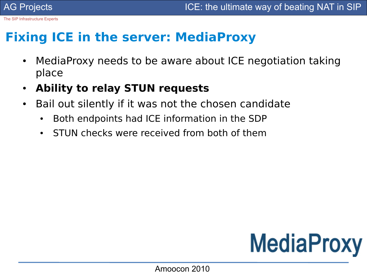#### **Fixing ICE in the server: MediaProxy**

- MediaProxy needs to be aware about ICE negotiation taking place
- **Ability to relay STUN requests**
- Bail out silently if it was not the chosen candidate
	- Both endpoints had ICE information in the SDP
	- STUN checks were received from both of them

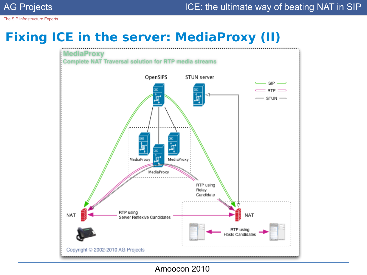#### **Fixing ICE in the server: MediaProxy (II)**



Amoocon 2010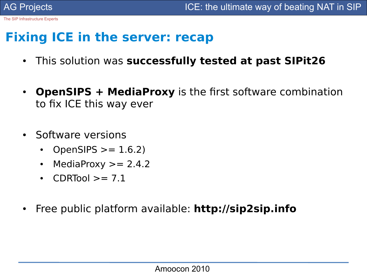#### **Fixing ICE in the server: recap**

- This solution was **successfully tested at past SIPit26**
- **OpenSIPS + MediaProxy** is the first software combination to fix ICE this way ever
- Software versions
	- OpenSIPS  $> = 1.6.2$ )
	- MediaProxy  $\ge$  = 2.4.2
	- CDRTool  $\geq$  = 7.1
- Free public platform available: **http://sip2sip.info**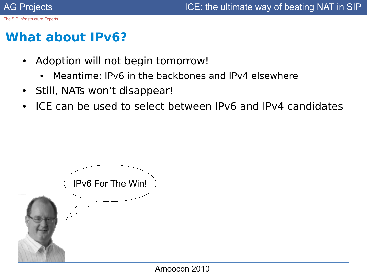#### **What about IPv6?**

- Adoption will not begin tomorrow!
	- Meantime: IPv6 in the backbones and IPv4 elsewhere
- Still, NATs won't disappear!
- ICE can be used to select between IPv6 and IPv4 candidates

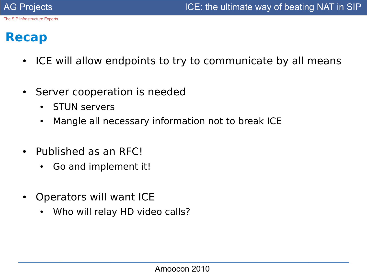#### **Recap**

- ICE will allow endpoints to try to communicate by all means
- Server cooperation is needed
	- STUN servers
	- Mangle all necessary information not to break ICE
- Published as an RFC!
	- Go and implement it!
- Operators will want ICE
	- Who will relay HD video calls?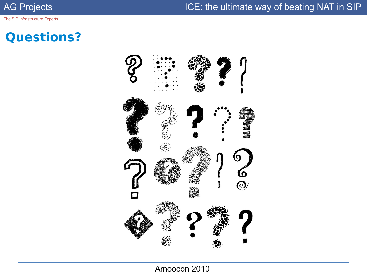AG Projects **ICE:** the ultimate way of beating NAT in SIP

The SIP Infrastructure Experts

#### **Questions?**



Amoocon 2010